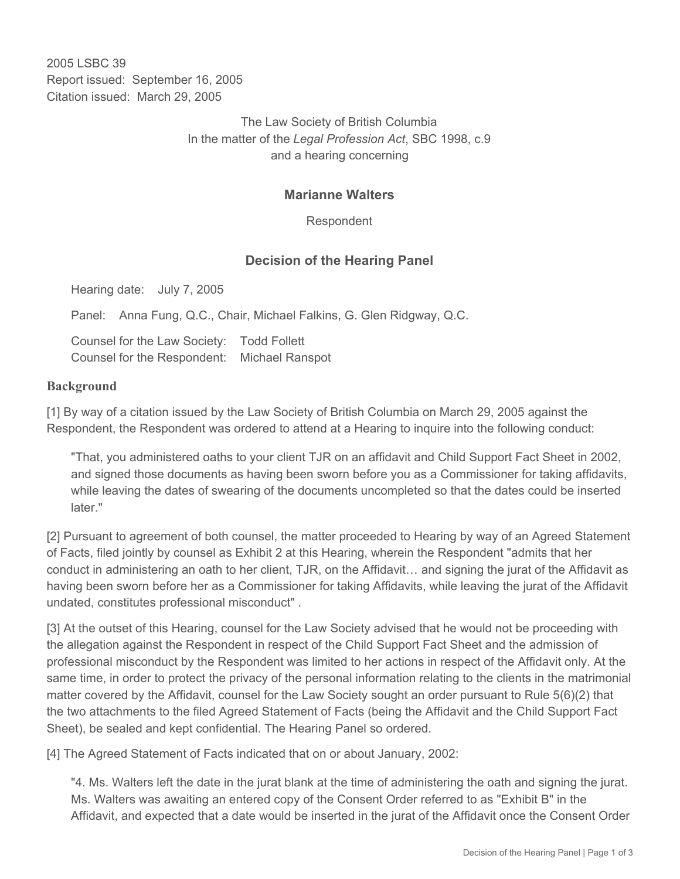2005 LSBC 39 Report issued: September 16, 2005 Citation issued: March 29, 2005

> The Law Society of British Columbia In the matter of the *Legal Profession Act*, SBC 1998, c.9 and a hearing concerning

## **Marianne Walters**

Respondent

## **Decision of the Hearing Panel**

Hearing date: July 7, 2005

Panel: Anna Fung, Q.C., Chair, Michael Falkins, G. Glen Ridgway, Q.C.

Counsel for the Law Society: Todd Follett Counsel for the Respondent: Michael Ranspot

## **Background**

[1] By way of a citation issued by the Law Society of British Columbia on March 29, 2005 against the Respondent, the Respondent was ordered to attend at a Hearing to inquire into the following conduct:

"That, you administered oaths to your client TJR on an affidavit and Child Support Fact Sheet in 2002, and signed those documents as having been sworn before you as a Commissioner for taking affidavits, while leaving the dates of swearing of the documents uncompleted so that the dates could be inserted later."

[2] Pursuant to agreement of both counsel, the matter proceeded to Hearing by way of an Agreed Statement of Facts, filed jointly by counsel as Exhibit 2 at this Hearing, wherein the Respondent "admits that her conduct in administering an oath to her client, TJR, on the Affidavit… and signing the jurat of the Affidavit as having been sworn before her as a Commissioner for taking Affidavits, while leaving the jurat of the Affidavit undated, constitutes professional misconduct" .

[3] At the outset of this Hearing, counsel for the Law Society advised that he would not be proceeding with the allegation against the Respondent in respect of the Child Support Fact Sheet and the admission of professional misconduct by the Respondent was limited to her actions in respect of the Affidavit only. At the same time, in order to protect the privacy of the personal information relating to the clients in the matrimonial matter covered by the Affidavit, counsel for the Law Society sought an order pursuant to Rule 5(6)(2) that the two attachments to the filed Agreed Statement of Facts (being the Affidavit and the Child Support Fact Sheet), be sealed and kept confidential. The Hearing Panel so ordered.

[4] The Agreed Statement of Facts indicated that on or about January, 2002:

"4. Ms. Walters left the date in the jurat blank at the time of administering the oath and signing the jurat. Ms. Walters was awaiting an entered copy of the Consent Order referred to as "Exhibit B" in the Affidavit, and expected that a date would be inserted in the jurat of the Affidavit once the Consent Order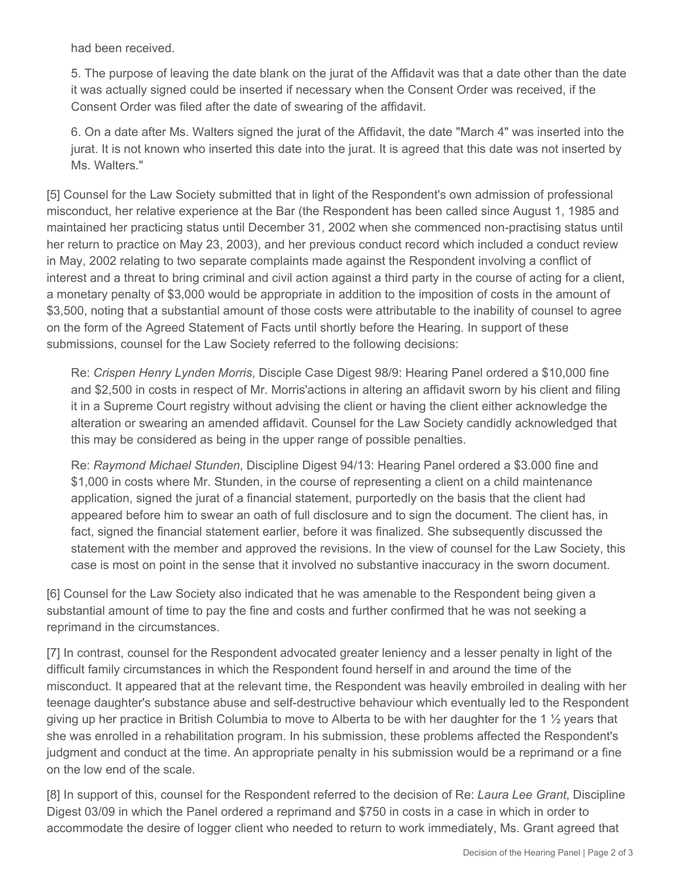had been received.

5. The purpose of leaving the date blank on the jurat of the Affidavit was that a date other than the date it was actually signed could be inserted if necessary when the Consent Order was received, if the Consent Order was filed after the date of swearing of the affidavit.

6. On a date after Ms. Walters signed the jurat of the Affidavit, the date "March 4" was inserted into the jurat. It is not known who inserted this date into the jurat. It is agreed that this date was not inserted by Ms. Walters."

[5] Counsel for the Law Society submitted that in light of the Respondent's own admission of professional misconduct, her relative experience at the Bar (the Respondent has been called since August 1, 1985 and maintained her practicing status until December 31, 2002 when she commenced non-practising status until her return to practice on May 23, 2003), and her previous conduct record which included a conduct review in May, 2002 relating to two separate complaints made against the Respondent involving a conflict of interest and a threat to bring criminal and civil action against a third party in the course of acting for a client, a monetary penalty of \$3,000 would be appropriate in addition to the imposition of costs in the amount of \$3,500, noting that a substantial amount of those costs were attributable to the inability of counsel to agree on the form of the Agreed Statement of Facts until shortly before the Hearing. In support of these submissions, counsel for the Law Society referred to the following decisions:

Re: *Crispen Henry Lynden Morris*, Disciple Case Digest 98/9: Hearing Panel ordered a \$10,000 fine and \$2,500 in costs in respect of Mr. Morris'actions in altering an affidavit sworn by his client and filing it in a Supreme Court registry without advising the client or having the client either acknowledge the alteration or swearing an amended affidavit. Counsel for the Law Society candidly acknowledged that this may be considered as being in the upper range of possible penalties.

Re: *Raymond Michael Stunden*, Discipline Digest 94/13: Hearing Panel ordered a \$3.000 fine and \$1,000 in costs where Mr. Stunden, in the course of representing a client on a child maintenance application, signed the jurat of a financial statement, purportedly on the basis that the client had appeared before him to swear an oath of full disclosure and to sign the document. The client has, in fact, signed the financial statement earlier, before it was finalized. She subsequently discussed the statement with the member and approved the revisions. In the view of counsel for the Law Society, this case is most on point in the sense that it involved no substantive inaccuracy in the sworn document.

[6] Counsel for the Law Society also indicated that he was amenable to the Respondent being given a substantial amount of time to pay the fine and costs and further confirmed that he was not seeking a reprimand in the circumstances.

[7] In contrast, counsel for the Respondent advocated greater leniency and a lesser penalty in light of the difficult family circumstances in which the Respondent found herself in and around the time of the misconduct. It appeared that at the relevant time, the Respondent was heavily embroiled in dealing with her teenage daughter's substance abuse and self-destructive behaviour which eventually led to the Respondent giving up her practice in British Columbia to move to Alberta to be with her daughter for the 1 ½ years that she was enrolled in a rehabilitation program. In his submission, these problems affected the Respondent's judgment and conduct at the time. An appropriate penalty in his submission would be a reprimand or a fine on the low end of the scale.

[8] In support of this, counsel for the Respondent referred to the decision of Re: *Laura Lee Grant*, Discipline Digest 03/09 in which the Panel ordered a reprimand and \$750 in costs in a case in which in order to accommodate the desire of logger client who needed to return to work immediately, Ms. Grant agreed that